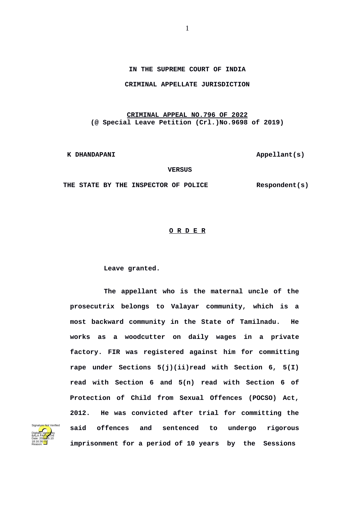## **IN THE SUPREME COURT OF INDIA**

## **CRIMINAL APPELLATE JURISDICTION**

## **CRIMINAL APPEAL NO.796 OF 2022 (@ Special Leave Petition (Crl.)No.9698 of 2019)**

**K DHANDAPANI Appellant(s)** 

 **VERSUS**

 **THE STATE BY THE INSPECTOR OF POLICE Respondent(s)**

## **O R D E R**

**Leave granted.** 

**The appellant who is the maternal uncle of the prosecutrix belongs to Valayar community, which is a most backward community in the State of Tamilnadu. He works as a woodcutter on daily wages in a private factory. FIR was registered against him for committing rape under Sections 5(j)(ii)read with Section 6, 5(I) read with Section 6 and 5(n) read with Section 6 of Protection of Child from Sexual Offences (POCSO) Act, 2012. He was convicted after trial for committing the said offences and sentenced to undergo rigorous imprisonment for a period of 10 years by the Sessions**

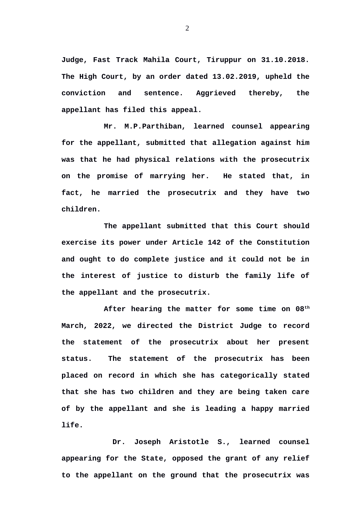**Judge, Fast Track Mahila Court, Tiruppur on 31.10.2018. The High Court, by an order dated 13.02.2019, upheld the conviction and sentence. Aggrieved thereby, the appellant has filed this appeal.**

**Mr. M.P.Parthiban, learned counsel appearing for the appellant, submitted that allegation against him was that he had physical relations with the prosecutrix on the promise of marrying her. He stated that, in fact, he married the prosecutrix and they have two children.**

**The appellant submitted that this Court should exercise its power under Article 142 of the Constitution and ought to do complete justice and it could not be in the interest of justice to disturb the family life of the appellant and the prosecutrix.**

**After hearing the matter for some time on 08th March, 2022, we directed the District Judge to record the statement of the prosecutrix about her present status. The statement of the prosecutrix has been placed on record in which she has categorically stated that she has two children and they are being taken care of by the appellant and she is leading a happy married life.** 

 **Dr. Joseph Aristotle S., learned counsel appearing for the State, opposed the grant of any relief to the appellant on the ground that the prosecutrix was**

2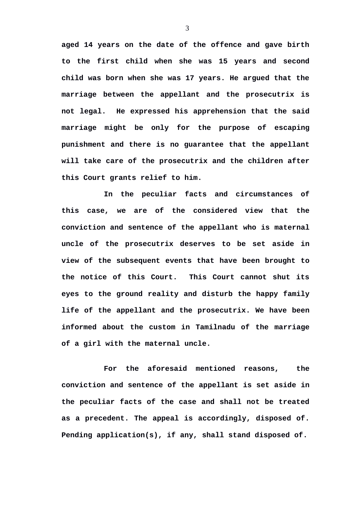**aged 14 years on the date of the offence and gave birth to the first child when she was 15 years and second child was born when she was 17 years. He argued that the marriage between the appellant and the prosecutrix is not legal. He expressed his apprehension that the said marriage might be only for the purpose of escaping punishment and there is no guarantee that the appellant will take care of the prosecutrix and the children after this Court grants relief to him.** 

**In the peculiar facts and circumstances of this case, we are of the considered view that the conviction and sentence of the appellant who is maternal uncle of the prosecutrix deserves to be set aside in view of the subsequent events that have been brought to the notice of this Court. This Court cannot shut its eyes to the ground reality and disturb the happy family life of the appellant and the prosecutrix. We have been informed about the custom in Tamilnadu of the marriage of a girl with the maternal uncle.** 

**For the aforesaid mentioned reasons, the conviction and sentence of the appellant is set aside in the peculiar facts of the case and shall not be treated as a precedent. The appeal is accordingly, disposed of. Pending application(s), if any, shall stand disposed of.**

3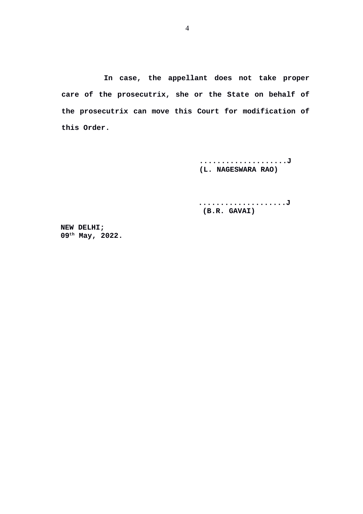**In case, the appellant does not take proper care of the prosecutrix, she or the State on behalf of the prosecutrix can move this Court for modification of this Order.**

> **....................J (L. NAGESWARA RAO)**

> **....................J (B.R. GAVAI)**

 **NEW DELHI; 09th May, 2022.**